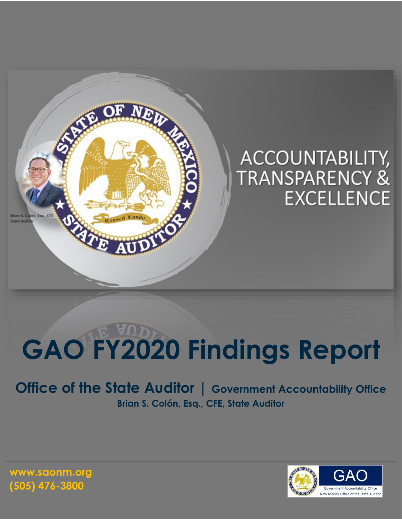

# **GAO FY2020 Findings Report**

**Office of the State Auditor | Government Accountability Office Brian S. Colón, Esq., CFE, State Auditor**

> $\mathsf{G}\mathsf{A}$ lew Mexico Office of the State Audit

**www.saonm.org (505) 476-3800**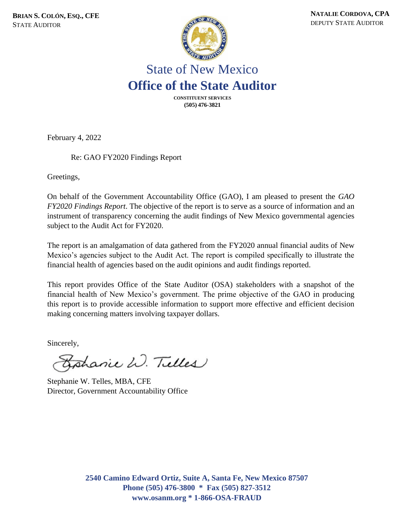

### State of New Mexico **Office of the State Auditor**

**CONSTITUENT SERVICES (505) 476-3821**

February 4, 2022

Re: GAO FY2020 Findings Report

Greetings,

On behalf of the Government Accountability Office (GAO), I am pleased to present the *GAO FY2020 Findings Report*. The objective of the report is to serve as a source of information and an instrument of transparency concerning the audit findings of New Mexico governmental agencies subject to the Audit Act for FY2020.

The report is an amalgamation of data gathered from the FY2020 annual financial audits of New Mexico's agencies subject to the Audit Act. The report is compiled specifically to illustrate the financial health of agencies based on the audit opinions and audit findings reported.

This report provides Office of the State Auditor (OSA) stakeholders with a snapshot of the financial health of New Mexico's government. The prime objective of the GAO in producing this report is to provide accessible information to support more effective and efficient decision making concerning matters involving taxpayer dollars.

Sincerely,

Bohanie W. Tulles

Stephanie W. Telles, MBA, CFE Director, Government Accountability Office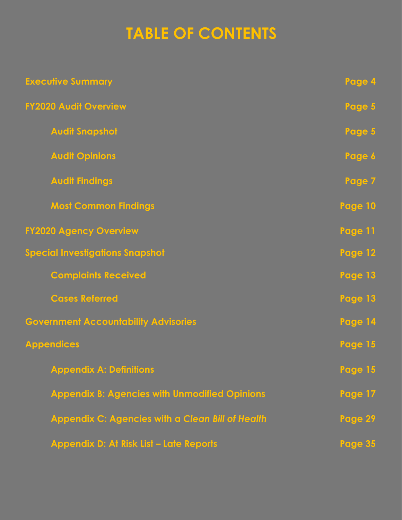## **TABLE OF CONTENTS**

| <b>Executive Summary</b>                             | Page 4         |
|------------------------------------------------------|----------------|
| <b>FY2020 Audit Overview</b>                         | Page 5         |
| <b>Audit Snapshot</b>                                | Page 5         |
| <b>Audit Opinions</b>                                | Page 6         |
| <b>Audit Findings</b>                                | Page 7         |
| <b>Most Common Findings</b>                          | Page 10        |
| <b>FY2020 Agency Overview</b>                        | Page 11        |
| <b>Special Investigations Snapshot</b>               | Page 12        |
| <b>Complaints Received</b>                           | Page 13        |
| <b>Cases Referred</b>                                | Page 13        |
| <b>Government Accountability Advisories</b>          | Page 14        |
| <b>Appendices</b>                                    | Page 15        |
| <b>Appendix A: Definitions</b>                       | <b>Page 15</b> |
| <b>Appendix B: Agencies with Unmodified Opinions</b> | Page 17        |
| Appendix C: Agencies with a Clean Bill of Health     | Page 29        |
| Appendix D: At Risk List - Late Reports              | <b>Page 35</b> |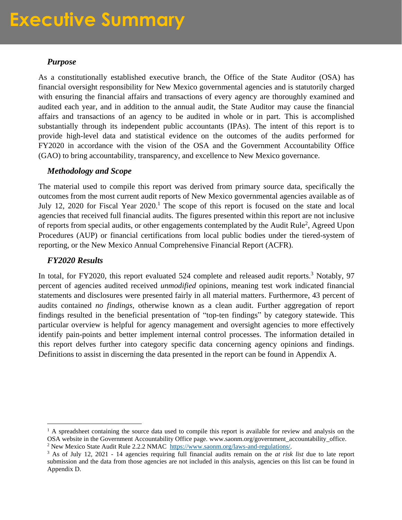### **Executive Summary**

#### *Purpose*

As a constitutionally established executive branch, the Office of the State Auditor (OSA) has financial oversight responsibility for New Mexico governmental agencies and is statutorily charged with ensuring the financial affairs and transactions of every agency are thoroughly examined and audited each year, and in addition to the annual audit, the State Auditor may cause the financial affairs and transactions of an agency to be audited in whole or in part. This is accomplished substantially through its independent public accountants (IPAs). The intent of this report is to provide high-level data and statistical evidence on the outcomes of the audits performed for FY2020 in accordance with the vision of the OSA and the Government Accountability Office (GAO) to bring accountability, transparency, and excellence to New Mexico governance.

#### *Methodology and Scope*

The material used to compile this report was derived from primary source data, specifically the outcomes from the most current audit reports of New Mexico governmental agencies available as of July 12, 2020 for Fiscal Year 2020.<sup>1</sup> The scope of this report is focused on the state and local agencies that received full financial audits. The figures presented within this report are not inclusive of reports from special audits, or other engagements contemplated by the Audit Rule<sup>2</sup>, Agreed Upon Procedures (AUP) or financial certifications from local public bodies under the tiered-system of reporting, or the New Mexico Annual Comprehensive Financial Report (ACFR).

#### *FY2020 Results*

In total, for FY2020, this report evaluated 524 complete and released audit reports.<sup>3</sup> Notably, 97 percent of agencies audited received *unmodified* opinions, meaning test work indicated financial statements and disclosures were presented fairly in all material matters. Furthermore, 43 percent of audits contained *no findings*, otherwise known as a clean audit. Further aggregation of report findings resulted in the beneficial presentation of "top-ten findings" by category statewide. This particular overview is helpful for agency management and oversight agencies to more effectively identify pain-points and better implement internal control processes. The information detailed in this report delves further into category specific data concerning agency opinions and findings. Definitions to assist in discerning the data presented in the report can be found in Appendix A.

 $<sup>1</sup>$  A spreadsheet containing the source data used to compile this report is available for review and analysis on the</sup> OSA website in the Government Accountability Office page. www.saonm.org/government\_accountability\_office. <sup>2</sup> New Mexico State Audit Rule 2.2.2 NMAC [https://www.saonm.org/laws-and-regulations/.](https://www.saonm.org/laws-and-regulations/)

<sup>3</sup> As of July 12, 2021 - 14 agencies requiring full financial audits remain on the *at risk list* due to late report submission and the data from those agencies are not included in this analysis, agencies on this list can be found in Appendix D.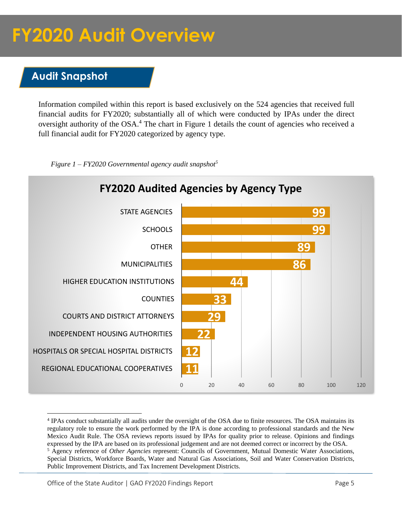#### **Audit Snapshot**

Information compiled within this report is based exclusively on the 524 agencies that received full financial audits for FY2020; substantially all of which were conducted by IPAs under the direct oversight authority of the OSA.<sup>4</sup> The chart in Figure 1 details the count of agencies who received a full financial audit for FY2020 categorized by agency type.



 *Figure 1 – FY2020 Governmental agency audit snapshot<sup>5</sup>*

Office of the State Auditor | GAO FY2020 Findings Report **Page 5** Page 5

<sup>&</sup>lt;sup>4</sup> IPAs conduct substantially all audits under the oversight of the OSA due to finite resources. The OSA maintains its regulatory role to ensure the work performed by the IPA is done according to professional standards and the New Mexico Audit Rule. The OSA reviews reports issued by IPAs for quality prior to release. Opinions and findings expressed by the IPA are based on its professional judgement and are not deemed correct or incorrect by the OSA. <sup>5</sup> Agency reference of *Other Agencies* represent: Councils of Government, Mutual Domestic Water Associations, Special Districts, Workforce Boards, Water and Natural Gas Associations, Soil and Water Conservation Districts, Public Improvement Districts, and Tax Increment Development Districts.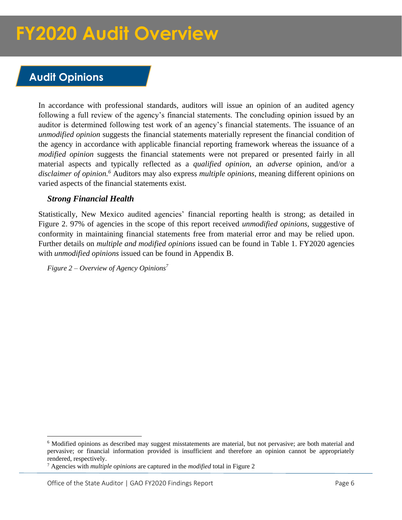#### **Audit Opinions**

In accordance with professional standards, auditors will issue an opinion of an audited agency following a full review of the agency's financial statements. The concluding opinion issued by an auditor is determined following test work of an agency's financial statements. The issuance of an *unmodified opinion* suggests the financial statements materially represent the financial condition of the agency in accordance with applicable financial reporting framework whereas the issuance of a *modified opinion* suggests the financial statements were not prepared or presented fairly in all material aspects and typically reflected as a *qualified opinion,* an *adverse* opinion, and/or a *disclaimer of opinion.<sup>6</sup>* Auditors may also express *multiple opinions,* meaning different opinions on varied aspects of the financial statements exist.

#### *Strong Financial Health*

Statistically, New Mexico audited agencies' financial reporting health is strong; as detailed in Figure 2. 97% of agencies in the scope of this report received *unmodified opinions,* suggestive of conformity in maintaining financial statements free from material error and may be relied upon. Further details on *multiple and modified opinions* issued can be found in Table 1. FY2020 agencies with *unmodified opinions* issued can be found in Appendix B.

*Figure 2 – Overview of Agency Opinions<sup>7</sup>*

<sup>6</sup> Modified opinions as described may suggest misstatements are material, but not pervasive; are both material and pervasive; or financial information provided is insufficient and therefore an opinion cannot be appropriately rendered, respectively.

<sup>7</sup> Agencies with *multiple opinions* are captured in the *modified* total in Figure 2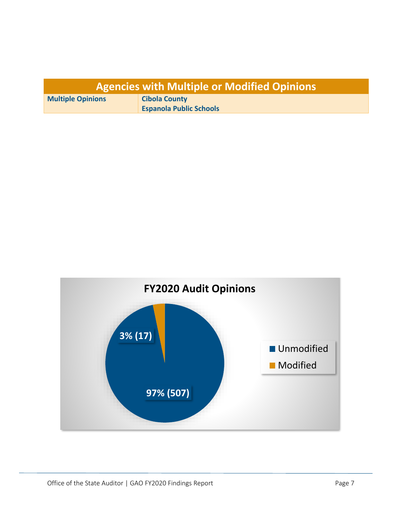| <b>Agencies with Multiple or Modified Opinions</b> |                                |  |  |  |
|----------------------------------------------------|--------------------------------|--|--|--|
| <b>Multiple Opinions</b>                           | <b>Cibola County</b>           |  |  |  |
|                                                    | <b>Espanola Public Schools</b> |  |  |  |

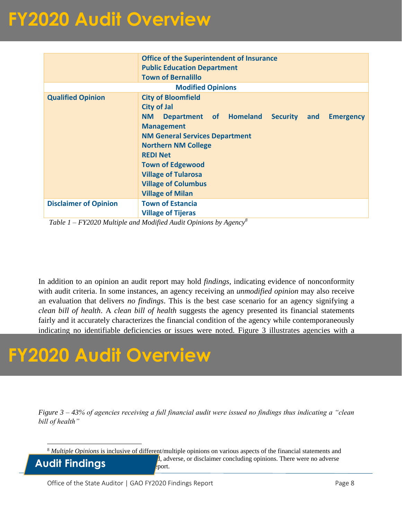|                              | <b>Office of the Superintendent of Insurance</b><br><b>Public Education Department</b><br><b>Town of Bernalillo</b>                                                                                                                                                                                                                                   |  |  |  |  |  |  |
|------------------------------|-------------------------------------------------------------------------------------------------------------------------------------------------------------------------------------------------------------------------------------------------------------------------------------------------------------------------------------------------------|--|--|--|--|--|--|
| <b>Modified Opinions</b>     |                                                                                                                                                                                                                                                                                                                                                       |  |  |  |  |  |  |
| <b>Qualified Opinion</b>     | <b>City of Bloomfield</b><br><b>City of Jal</b><br>Department of Homeland Security<br>NM.<br><b>Emergency</b><br>and<br><b>Management</b><br><b>NM General Services Department</b><br><b>Northern NM College</b><br><b>REDI Net</b><br><b>Town of Edgewood</b><br><b>Village of Tularosa</b><br><b>Village of Columbus</b><br><b>Village of Milan</b> |  |  |  |  |  |  |
|                              | <b>Town of Estancia</b>                                                                                                                                                                                                                                                                                                                               |  |  |  |  |  |  |
| <b>Disclaimer of Opinion</b> | <b>Village of Tijeras</b>                                                                                                                                                                                                                                                                                                                             |  |  |  |  |  |  |

*Table 1 – FY2020 Multiple and Modified Audit Opinions by Agency<sup>8</sup>*

In addition to an opinion an audit report may hold *findings*, indicating evidence of nonconformity with audit criteria. In some instances, an agency receiving an *unmodified opinion* may also receive an evaluation that delivers *no findings*. This is the best case scenario for an agency signifying a *clean bill of health*. A *clean bill of health* suggests the agency presented its financial statements fairly and it accurately characterizes the financial condition of the agency while contemporaneously indicating no identifiable deficiencies or issues were noted. Figure 3 illustrates agencies with a

### **FY2020 Audit Overview**

*Figure 3 – 43% of agencies receiving a full financial audit were issued no findings thus indicating a "clean bill of health"* 

<sup>8</sup> *Multiple Opinions* is inclusive of different/multiple opinions on various aspects of the financial statements and

Audit Findings **in the scott** 

*A*, adverse, or disclaimer concluding opinions. There were no adverse

Office of the State Auditor | GAO FY2020 Findings Report **Page 8** Page 8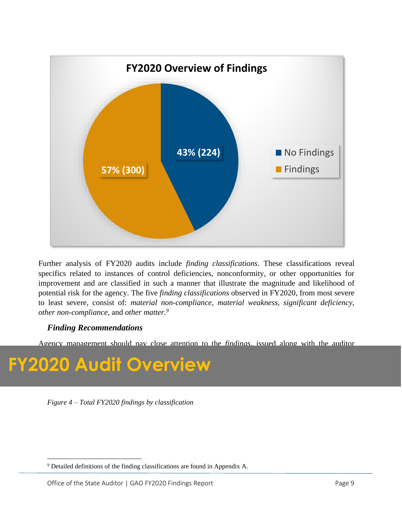

Further analysis of FY2020 audits include *finding classifications*. These classifications reveal specifics related to instances of control deficiencies, nonconformity, or other opportunities for improvement and are classified in such a manner that illustrate the magnitude and likelihood of potential risk for the agency. The five *finding classifications* observed in FY2020, from most severe to least severe, consist of: *material non-compliance*, *material weakness, significant deficiency, other non-compliance,* and *other matter.<sup>9</sup>*

#### *Finding Recommendations*

Agency management should pay close attention to the *findings,* issued along with the auditor

#### to resolve matters of nonconformity or nonconformity or noncompliance. Figure 4, on the following page, in the **FY2020 Audit Overview**

*Figure 4 – Total FY2020 findings by classification*

<sup>&</sup>lt;sup>9</sup> Detailed definitions of the finding classifications are found in Appendix A.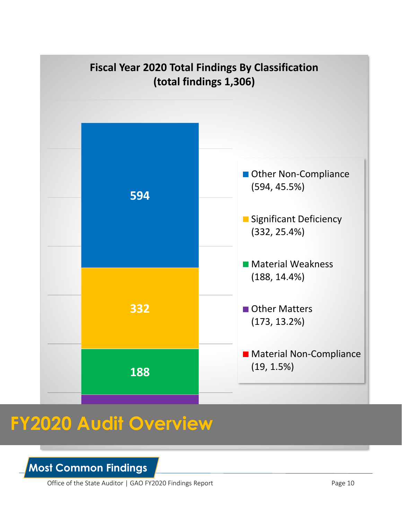

**Most Common Findings**

Office of the State Auditor | GAO FY2020 Findings Report Page 10

**19**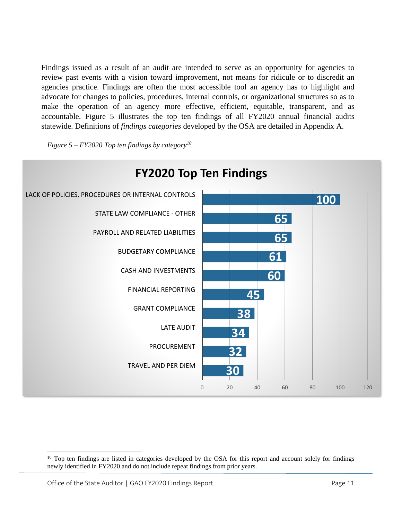Findings issued as a result of an audit are intended to serve as an opportunity for agencies to review past events with a vision toward improvement, not means for ridicule or to discredit an agencies practice. Findings are often the most accessible tool an agency has to highlight and advocate for changes to policies, procedures, internal controls, or organizational structures so as to make the operation of an agency more effective, efficient, equitable, transparent, and as accountable. Figure 5 illustrates the top ten findings of all FY2020 annual financial audits statewide. Definitions of *findings categories* developed by the OSA are detailed in Appendix A.

*Figure 5 – FY2020 Top ten findings by category<sup>10</sup>*



<sup>&</sup>lt;sup>10</sup> Top ten findings are listed in categories developed by the OSA for this report and account solely for findings newly identified in FY2020 and do not include repeat findings from prior years.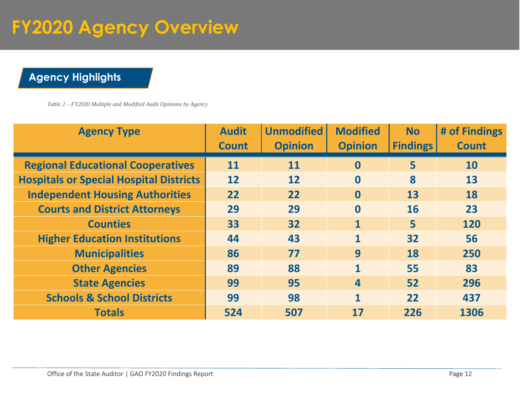## **FY2020 Agency Overview**

### **Agency Highlights**

*Table 2 – FY2020 Multiple and Modified Audit Opinions by Agency*

| <b>Agency Type</b>                             | <b>Audit</b><br><b>Count</b> | <b>Unmodified</b><br><b>Opinion</b> | <b>Modified</b><br><b>Opinion</b> | <b>No</b><br><b>Findings</b> | # of Findings<br><b>Count</b> |
|------------------------------------------------|------------------------------|-------------------------------------|-----------------------------------|------------------------------|-------------------------------|
| <b>Regional Educational Cooperatives</b>       | 11                           | 11                                  | $\bf{0}$                          | 5                            | <b>10</b>                     |
| <b>Hospitals or Special Hospital Districts</b> | 12                           | 12                                  | $\bf{0}$                          | 8                            | 13                            |
| <b>Independent Housing Authorities</b>         | 22                           | 22                                  | $\mathbf{0}$                      | 13                           | 18                            |
| <b>Courts and District Attorneys</b>           | 29                           | 29                                  | $\mathbf{0}$                      | <b>16</b>                    | 23                            |
| <b>Counties</b>                                | 33                           | 32                                  | $\mathbf{1}$                      | $\overline{\mathbf{5}}$      | 120                           |
| <b>Higher Education Institutions</b>           | 44                           | 43                                  | 1                                 | 32                           | 56                            |
| <b>Municipalities</b>                          | 86                           | 77                                  | 9                                 | 18                           | 250                           |
| <b>Other Agencies</b>                          | 89                           | 88                                  | 1                                 | 55                           | 83                            |
| <b>State Agencies</b>                          | 99                           | 95                                  | $\overline{\mathbf{4}}$           | 52                           | 296                           |
| <b>Schools &amp; School Districts</b>          | 99                           | 98                                  | 1                                 | 22                           | 437                           |
| <b>Totals</b>                                  | 524                          | 507                                 | 17                                | 226                          | 1306                          |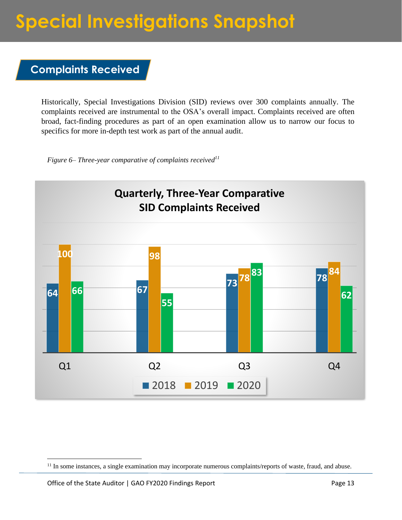### **Special Investigations Snapshot**

#### **Complaints Received**

Historically, Special Investigations Division (SID) reviews over 300 complaints annually. The complaints received are instrumental to the OSA's overall impact. Complaints received are often broad, fact-finding procedures as part of an open examination allow us to narrow our focus to specifics for more in-depth test work as part of the annual audit.

*Figure 6– Three-year comparative of complaints received<sup>11</sup>*



<sup>&</sup>lt;sup>11</sup> In some instances, a single examination may incorporate numerous complaints/reports of waste, fraud, and abuse.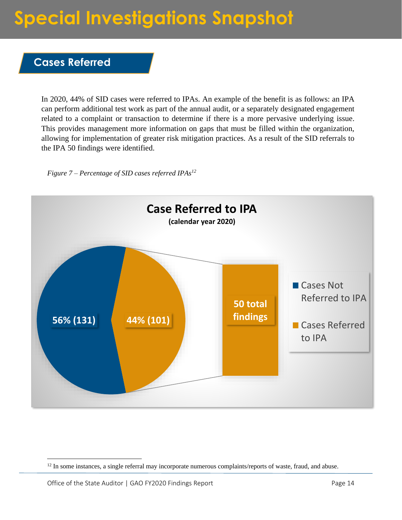## **Special Investigations Snapshot**

#### **Cases Referred**

In 2020, 44% of SID cases were referred to IPAs. An example of the benefit is as follows: an IPA can perform additional test work as part of the annual audit, or a separately designated engagement related to a complaint or transaction to determine if there is a more pervasive underlying issue. This provides management more information on gaps that must be filled within the organization, allowing for implementation of greater risk mitigation practices. As a result of the SID referrals to the IPA 50 findings were identified.

*Figure 7 – Percentage of SID cases referred IPAs<sup>12</sup>*

![](_page_13_Figure_4.jpeg)

<sup>&</sup>lt;sup>12</sup> In some instances, a single referral may incorporate numerous complaints/reports of waste, fraud, and abuse.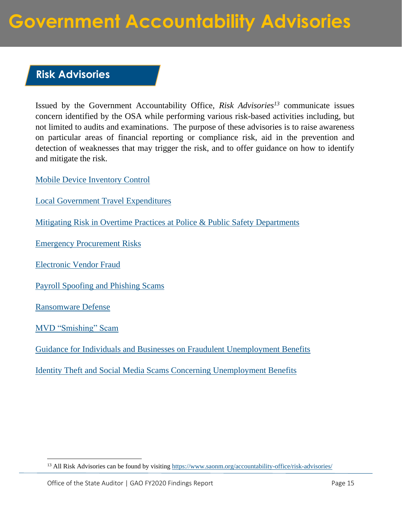### **Government Accountability Advisories**

#### **Risk Advisories**

Issued by the Government Accountability Office, *Risk Advisories<sup>13</sup>* communicate issues concern identified by the OSA while performing various risk-based activities including, but not limited to audits and examinations. The purpose of these advisories is to raise awareness on particular areas of financial reporting or compliance risk, aid in the prevention and detection of weaknesses that may trigger the risk, and to offer guidance on how to identify and mitigate the risk.

[Mobile Device Inventory Control](https://www.saonm.org/wp-content/uploads/2021/09/FINAL_Risk-Advisory_Mobile-Device-Inventory-Control.pdf)

[Local Government Travel Expenditures](https://www.saonm.org/wp-content/uploads/2020/07/Risk-Advisory_Travel-Expenditures-073120.pdf)

[Mitigating Risk in Overtime Practices at Police & Public Safety Departments](https://www.saonm.org/wp-content/uploads/2020/07/Risk-Advisory_Police-and-Public-Safety-Departments-Overtime.pdf)

[Emergency Procurement Risks](https://www.saonm.org/wp-content/uploads/2020/06/Risk-Advisory_OSA_LFC_Emergency-Procurments-061520-1.pdf)

[Electronic Vendor Fraud](https://www.saonm.org/wp-content/uploads/2020/02/Risk-Advisory_Electronic-Vendor-Fraud.pdf)

[Payroll Spoofing and Phishing Scams](https://www.saonm.org/wp-content/uploads/2019/06/Spoofed_Email_3-4-19.pdf)

[Ransomware Defense](https://www.saonm.org/wp-content/uploads/2019/11/Risk-Advisory-Ransomware.pdf)

[MVD "Smishing" Scam](https://www.saonm.org/wp-content/uploads/2021/07/Risk-Advisory_MVDSmishingScam.pdf)

[Guidance for Individuals and Businesses on Fraudulent Unemployment Benefits](https://www.saonm.org/wp-content/uploads/2021/06/FINAL_Risk-Advisory_3rd-Joint_OSA_DWS_Fraud-UI.pdf)

[Identity Theft and Social Media Scams Concerning Unemployment Benefits](https://www.saonm.org/wp-content/uploads/2021/03/Risk-Advisory_OSA-DWS_COVID-19_UI_Scam.pdf) 

<sup>&</sup>lt;sup>13</sup> All Risk Advisories can be found by visiting<https://www.saonm.org/accountability-office/risk-advisories/>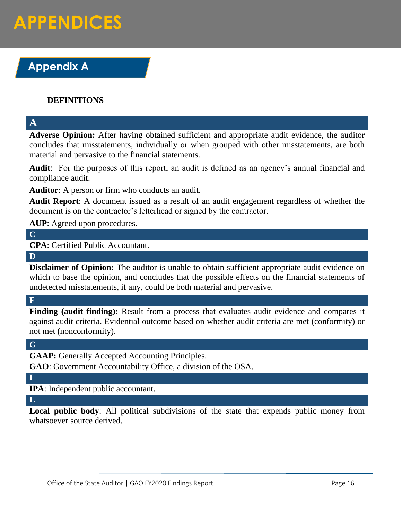### **Appendix A**

#### **DEFINITIONS**

**A**

**Adverse Opinion:** After having obtained sufficient and appropriate audit evidence, the auditor concludes that misstatements, individually or when grouped with other misstatements, are both material and pervasive to the financial statements.

**Audit**: For the purposes of this report, an audit is defined as an agency's annual financial and compliance audit.

**Auditor**: A person or firm who conducts an audit.

**Audit Report**: A document issued as a result of an audit engagement regardless of whether the document is on the contractor's letterhead or signed by the contractor.

**AUP**: Agreed upon procedures.

#### **C**

**CPA**: Certified Public Accountant.

**D**

**Disclaimer of Opinion:** The auditor is unable to obtain sufficient appropriate audit evidence on which to base the opinion, and concludes that the possible effects on the financial statements of undetected misstatements, if any, could be both material and pervasive.

#### **F**

Finding (audit finding): Result from a process that evaluates audit evidence and compares it against audit criteria. Evidential outcome based on whether audit criteria are met (conformity) or not met (nonconformity).

#### **G**

**GAAP:** Generally Accepted Accounting Principles.

**GAO**: Government Accountability Office, a division of the OSA.

#### **I**

**IPA**: Independent public accountant.

#### **L**

**Local public body**: All political subdivisions of the state that expends public money from whatsoever source derived.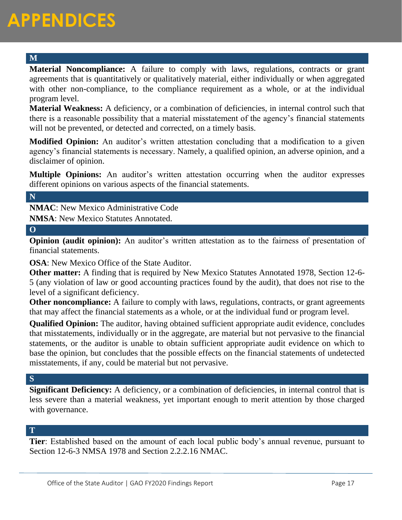#### **M**

**Material Noncompliance:** A failure to comply with laws, regulations, contracts or grant agreements that is quantitatively or qualitatively material, either individually or when aggregated with other non-compliance, to the compliance requirement as a whole, or at the individual program level.

**Material Weakness:** A deficiency, or a combination of deficiencies, in internal control such that there is a reasonable possibility that a material misstatement of the agency's financial statements will not be prevented, or detected and corrected, on a timely basis.

**Modified Opinion:** An auditor's written attestation concluding that a modification to a given agency's financial statements is necessary. Namely, a qualified opinion, an adverse opinion, and a disclaimer of opinion.

**Multiple Opinions:** An auditor's written attestation occurring when the auditor expresses different opinions on various aspects of the financial statements.

#### **N**

**NMAC**: New Mexico Administrative Code

**NMSA**: New Mexico Statutes Annotated.

#### **O**

**Opinion (audit opinion):** An auditor's written attestation as to the fairness of presentation of financial statements.

**OSA**: New Mexico Office of the State Auditor.

**Other matter:** A finding that is required by New Mexico Statutes Annotated 1978, Section 12-6- 5 (any violation of law or good accounting practices found by the audit), that does not rise to the level of a significant deficiency.

**Other noncompliance:** A failure to comply with laws, regulations, contracts, or grant agreements that may affect the financial statements as a whole, or at the individual fund or program level.

**Qualified Opinion:** The auditor, having obtained sufficient appropriate audit evidence, concludes that misstatements, individually or in the aggregate, are material but not pervasive to the financial statements, or the auditor is unable to obtain sufficient appropriate audit evidence on which to base the opinion, but concludes that the possible effects on the financial statements of undetected misstatements, if any, could be material but not pervasive.

#### **S**

**Significant Deficiency:** A deficiency, or a combination of deficiencies, in internal control that is less severe than a material weakness, yet important enough to merit attention by those charged with governance.

#### **T**

**Tier**: Established based on the amount of each local public body's annual revenue, pursuant to Section 12-6-3 NMSA 1978 and Section 2.2.2.16 NMAC.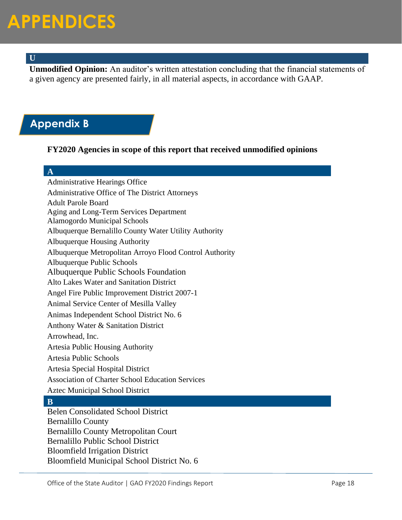#### **U**

**Unmodified Opinion:** An auditor's written attestation concluding that the financial statements of a given agency are presented fairly, in all material aspects, in accordance with GAAP.

#### **Appendix B**

#### **FY2020 Agencies in scope of this report that received unmodified opinions**

![](_page_17_Figure_5.jpeg)

Administrative Hearings Office Administrative Office of The District Attorneys Adult Parole Board Aging and Long-Term Services Department Alamogordo Municipal Schools Albuquerque Bernalillo County Water Utility Authority Albuquerque Housing Authority Albuquerque Metropolitan Arroyo Flood Control Authority Albuquerque Public Schools Albuquerque Public Schools Foundation Alto Lakes Water and Sanitation District Angel Fire Public Improvement District 2007-1 Animal Service Center of Mesilla Valley Animas Independent School District No. 6 Anthony Water & Sanitation District Arrowhead, Inc. Artesia Public Housing Authority Artesia Public Schools Artesia Special Hospital District Association of Charter School Education Services Aztec Municipal School District **B** Belen Consolidated School District Bernalillo County Bernalillo County Metropolitan Court Bernalillo Public School District Bloomfield Irrigation District Bloomfield Municipal School District No. 6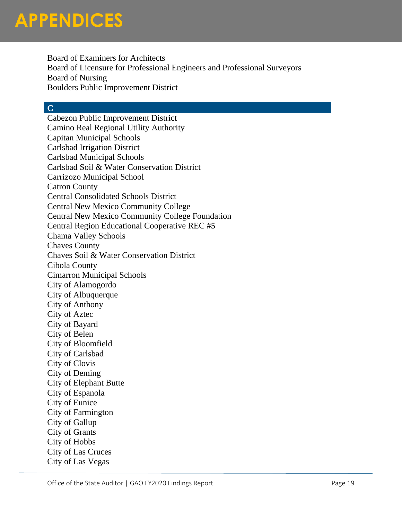Board of Examiners for Architects Board of Licensure for Professional Engineers and Professional Surveyors Board of Nursing Boulders Public Improvement District

#### **C**

Cabezon Public Improvement District Camino Real Regional Utility Authority Capitan Municipal Schools Carlsbad Irrigation District Carlsbad Municipal Schools Carlsbad Soil & Water Conservation District Carrizozo Municipal School Catron County Central Consolidated Schools District Central New Mexico Community College Central New Mexico Community College Foundation Central Region Educational Cooperative REC #5 Chama Valley Schools Chaves County Chaves Soil & Water Conservation District Cibola County Cimarron Municipal Schools City of Alamogordo City of Albuquerque City of Anthony City of Aztec City of Bayard City of Belen City of Bloomfield City of Carlsbad City of Clovis City of Deming City of Elephant Butte City of Espanola City of Eunice City of Farmington City of Gallup City of Grants City of Hobbs City of Las Cruces City of Las Vegas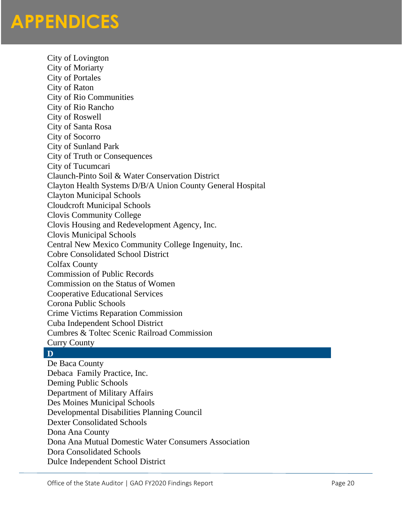City of Lovington City of Moriarty City of Portales City of Raton City of Rio Communities City of Rio Rancho City of Roswell City of Santa Rosa City of Socorro City of Sunland Park City of Truth or Consequences City of Tucumcari Claunch-Pinto Soil & Water Conservation District Clayton Health Systems D/B/A Union County General Hospital Clayton Municipal Schools Cloudcroft Municipal Schools Clovis Community College Clovis Housing and Redevelopment Agency, Inc. Clovis Municipal Schools Central New Mexico Community College Ingenuity, Inc. Cobre Consolidated School District Colfax County Commission of Public Records Commission on the Status of Women Cooperative Educational Services Corona Public Schools Crime Victims Reparation Commission Cuba Independent School District Cumbres & Toltec Scenic Railroad Commission Curry County

#### **D**

De Baca County Debaca Family Practice, Inc. Deming Public Schools Department of Military Affairs Des Moines Municipal Schools Developmental Disabilities Planning Council Dexter Consolidated Schools Dona Ana County Dona Ana Mutual Domestic Water Consumers Association Dora Consolidated Schools Dulce Independent School District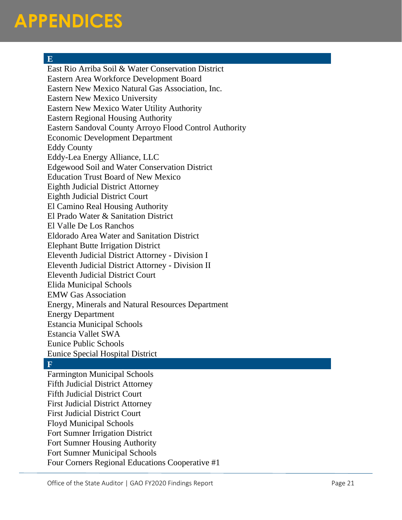#### **E**

East Rio Arriba Soil & Water Conservation District Eastern Area Workforce Development Board Eastern New Mexico Natural Gas Association, Inc. Eastern New Mexico University Eastern New Mexico Water Utility Authority Eastern Regional Housing Authority Eastern Sandoval County Arroyo Flood Control Authority Economic Development Department Eddy County Eddy-Lea Energy Alliance, LLC Edgewood Soil and Water Conservation District Education Trust Board of New Mexico Eighth Judicial District Attorney Eighth Judicial District Court El Camino Real Housing Authority El Prado Water & Sanitation District El Valle De Los Ranchos Eldorado Area Water and Sanitation District Elephant Butte Irrigation District Eleventh Judicial District Attorney - Division I Eleventh Judicial District Attorney - Division II Eleventh Judicial District Court Elida Municipal Schools EMW Gas Association Energy, Minerals and Natural Resources Department Energy Department Estancia Municipal Schools Estancia Vallet SWA Eunice Public Schools Eunice Special Hospital District

#### **F**

Farmington Municipal Schools Fifth Judicial District Attorney Fifth Judicial District Court First Judicial District Attorney First Judicial District Court Floyd Municipal Schools Fort Sumner Irrigation District Fort Sumner Housing Authority Fort Sumner Municipal Schools Four Corners Regional Educations Cooperative #1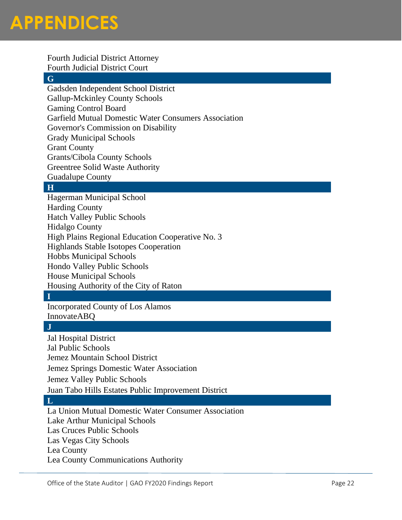Fourth Judicial District Attorney Fourth Judicial District Court **G** Gadsden Independent School District Gallup-Mckinley County Schools Gaming Control Board Garfield Mutual Domestic Water Consumers Association Governor's Commission on Disability Grady Municipal Schools Grant County Grants/Cibola County Schools Greentree Solid Waste Authority Guadalupe County

#### **H**

Hagerman Municipal School Harding County Hatch Valley Public Schools Hidalgo County High Plains Regional Education Cooperative No. 3 Highlands Stable Isotopes Cooperation Hobbs Municipal Schools Hondo Valley Public Schools House Municipal Schools Housing Authority of the City of Raton

#### **I**

Incorporated County of Los Alamos InnovateABQ

#### **J**

Jal Hospital District Jal Public Schools Jemez Mountain School District Jemez Springs Domestic Water Association Jemez Valley Public Schools Juan Tabo Hills Estates Public Improvement District

#### **L**

La Union Mutual Domestic Water Consumer Association Lake Arthur Municipal Schools Las Cruces Public Schools Las Vegas City Schools Lea County Lea County Communications Authority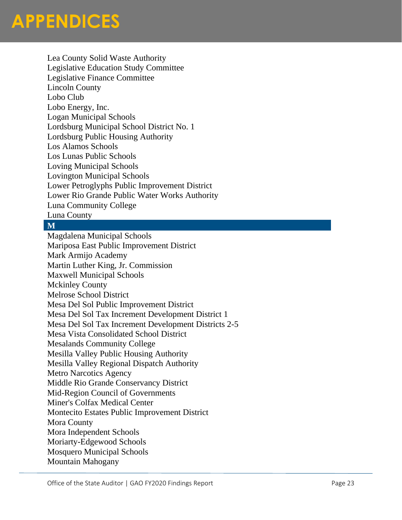Lea County Solid Waste Authority Legislative Education Study Committee Legislative Finance Committee Lincoln County Lobo Club Lobo Energy, Inc. Logan Municipal Schools Lordsburg Municipal School District No. 1 Lordsburg Public Housing Authority Los Alamos Schools Los Lunas Public Schools Loving Municipal Schools Lovington Municipal Schools Lower Petroglyphs Public Improvement District Lower Rio Grande Public Water Works Authority Luna Community College Luna County

#### **M**

Magdalena Municipal Schools Mariposa East Public Improvement District Mark Armijo Academy Martin Luther King, Jr. Commission Maxwell Municipal Schools Mckinley County Melrose School District Mesa Del Sol Public Improvement District Mesa Del Sol Tax Increment Development District 1 Mesa Del Sol Tax Increment Development Districts 2-5 Mesa Vista Consolidated School District Mesalands Community College Mesilla Valley Public Housing Authority Mesilla Valley Regional Dispatch Authority Metro Narcotics Agency Middle Rio Grande Conservancy District Mid-Region Council of Governments Miner's Colfax Medical Center Montecito Estates Public Improvement District Mora County Mora Independent Schools Moriarty-Edgewood Schools Mosquero Municipal Schools Mountain Mahogany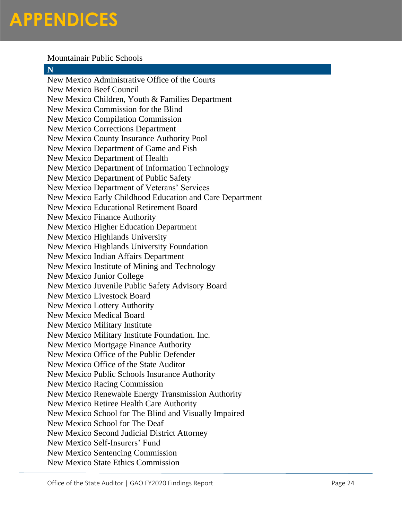#### Mountainair Public Schools

#### **N**

New Mexico Administrative Office of the Courts New Mexico Beef Council New Mexico Children, Youth & Families Department New Mexico Commission for the Blind New Mexico Compilation Commission New Mexico Corrections Department New Mexico County Insurance Authority Pool New Mexico Department of Game and Fish New Mexico Department of Health New Mexico Department of Information Technology New Mexico Department of Public Safety New Mexico Department of Veterans' Services New Mexico Early Childhood Education and Care Department New Mexico Educational Retirement Board New Mexico Finance Authority New Mexico Higher Education Department New Mexico Highlands University New Mexico Highlands University Foundation New Mexico Indian Affairs Department New Mexico Institute of Mining and Technology New Mexico Junior College New Mexico Juvenile Public Safety Advisory Board New Mexico Livestock Board New Mexico Lottery Authority New Mexico Medical Board New Mexico Military Institute New Mexico Military Institute Foundation. Inc. New Mexico Mortgage Finance Authority New Mexico Office of the Public Defender New Mexico Office of the State Auditor New Mexico Public Schools Insurance Authority New Mexico Racing Commission New Mexico Renewable Energy Transmission Authority New Mexico Retiree Health Care Authority New Mexico School for The Blind and Visually Impaired New Mexico School for The Deaf New Mexico Second Judicial District Attorney New Mexico Self-Insurers' Fund New Mexico Sentencing Commission New Mexico State Ethics Commission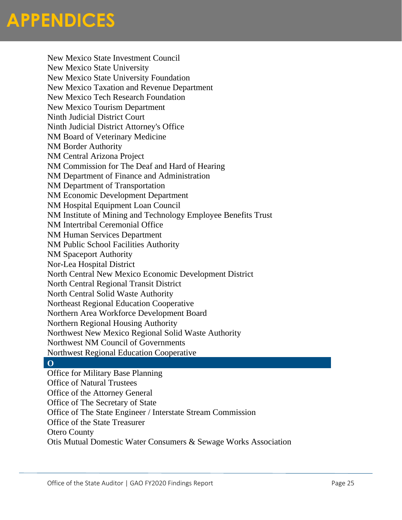New Mexico State Investment Council New Mexico State University New Mexico State University Foundation New Mexico Taxation and Revenue Department New Mexico Tech Research Foundation New Mexico Tourism Department Ninth Judicial District Court Ninth Judicial District Attorney's Office NM Board of Veterinary Medicine NM Border Authority NM Central Arizona Project NM Commission for The Deaf and Hard of Hearing NM Department of Finance and Administration NM Department of Transportation NM Economic Development Department NM Hospital Equipment Loan Council NM Institute of Mining and Technology Employee Benefits Trust NM Intertribal Ceremonial Office NM Human Services Department NM Public School Facilities Authority NM Spaceport Authority Nor-Lea Hospital District North Central New Mexico Economic Development District North Central Regional Transit District North Central Solid Waste Authority Northeast Regional Education Cooperative Northern Area Workforce Development Board Northern Regional Housing Authority Northwest New Mexico Regional Solid Waste Authority Northwest NM Council of Governments Northwest Regional Education Cooperative

#### **O**

Office for Military Base Planning Office of Natural Trustees Office of the Attorney General Office of The Secretary of State Office of The State Engineer / Interstate Stream Commission Office of the State Treasurer Otero County Otis Mutual Domestic Water Consumers & Sewage Works Association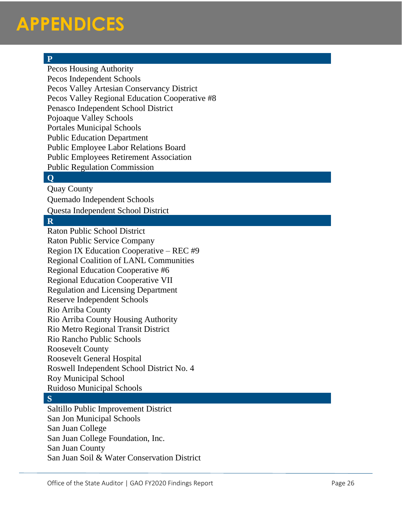Pecos Housing Authority Pecos Independent Schools Pecos Valley Artesian Conservancy District Pecos Valley Regional Education Cooperative #8 Penasco Independent School District Pojoaque Valley Schools Portales Municipal Schools Public Education Department Public Employee Labor Relations Board Public Employees Retirement Association Public Regulation Commission

#### **Q**

Quay County

Quemado Independent Schools

Questa Independent School District

#### **R**

P<br>
Precos Housing Authority<br>
Precos Housey Artesian Conservancy District<br>
Pecos Valley Artesian Conservancy District<br>
Pensoco Independent School District<br>
Pensoco Independent School District<br>
Pensoco Independent Schools<br>
P Raton Public School District Raton Public Service Company Region I X Education Cooperative – REC #9 Regional Coalition of LANL Communities Regional Education Cooperative #6 Regional Education Cooperative VII Regulation and Licensing Department Reserve Independent Schools Rio Arriba County Rio Arriba County Housing Authority Rio Metro Regional Transit District Rio Rancho Public Schools Roosevelt County Roosevelt General Hospital Roswell Independent School District No. 4 Roy Municipal School Ruidoso Municipal Schools

#### **S**

Saltillo Public Improvement District San Jon Municipal Schools San Juan College San Juan College Foundation, Inc. San Juan County San Juan Soil & Water Conservation District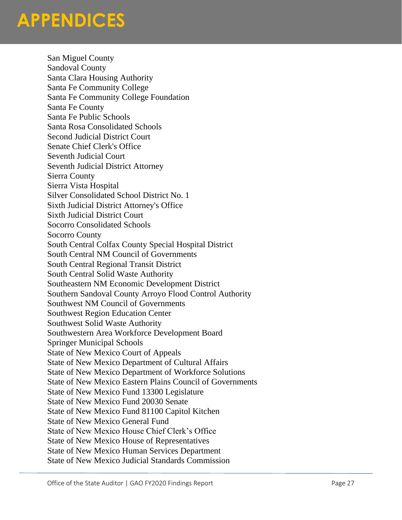San Miguel County Sandoval County Santa Clara Housing Authority Santa Fe Community College Santa Fe Community College Foundation Santa Fe County Santa Fe Public Schools Santa Rosa Consolidated Schools Second Judicial District Court Senate Chief Clerk's Office Seventh Judicial Court Seventh Judicial District Attorney Sierra County Sierra Vista Hospital Silver Consolidated School District No. 1 Sixth Judicial District Attorney's Office Sixth Judicial District Court Socorro Consolidated Schools Socorro County South Central Colfax County Special Hospital District South Central NM Council of Governments South Central Regional Transit District South Central Solid Waste Authority Southeastern NM Economic Development District Southern Sandoval County Arroyo Flood Control Authority Southwest NM Council of Governments Southwest Region Education Center Southwest Solid Waste Authority Southwestern Area Workforce Development Board Springer Municipal Schools State of New Mexico Court of Appeals State of New Mexico Department of Cultural Affairs State of New Mexico Department of Workforce Solutions State of New Mexico Eastern Plains Council of Governments State of New Mexico Fund 13300 Legislature State of New Mexico Fund 20030 Senate State of New Mexico Fund 81100 Capitol Kitchen State of New Mexico General Fund State of New Mexico House Chief Clerk's Office State of New Mexico House of Representatives State of New Mexico Human Services Department State of New Mexico Judicial Standards Commission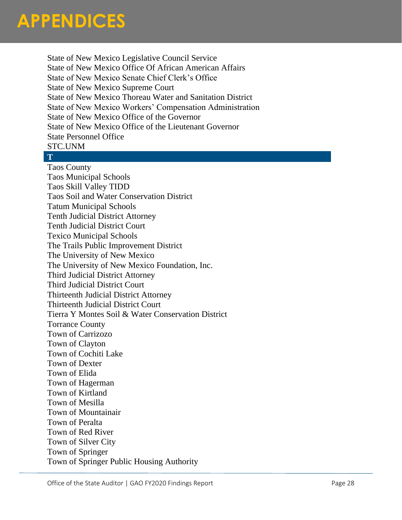![](_page_27_Picture_0.jpeg)

State of New Mexico Legislative Council Service State of New Mexico Office Of African American Affairs State of New Mexico Senate Chief Clerk's Office State of New Mexico Supreme Court State of New Mexico Thoreau Water and Sanitation District State of New Mexico Workers' Compensation Administration State of New Mexico Office of the Governor State of New Mexico Office of the Lieutenant Governor State Personnel Office STC.UNM

#### **T**

Taos County Taos Municipal Schools Taos Skill Valley TIDD Taos Soil and Water Conservation District Tatum Municipal Schools Tenth Judicial District Attorney Tenth Judicial District Court Texico Municipal Schools The Trails Public Improvement District The University of New Mexico The University of New Mexico Foundation, Inc. Third Judicial District Attorney Third Judicial District Court Thirteenth Judicial District Attorney Thirteenth Judicial District Court Tierra Y Montes Soil & Water Conservation District Torrance County Town of Carrizozo Town of Clayton Town of Cochiti Lake Town of Dexter Town of Elida Town of Hagerman Town of Kirtland Town of Mesilla Town of Mountainair Town of Peralta Town of Red River Town of Silver City Town of Springer Town of Springer Public Housing Authority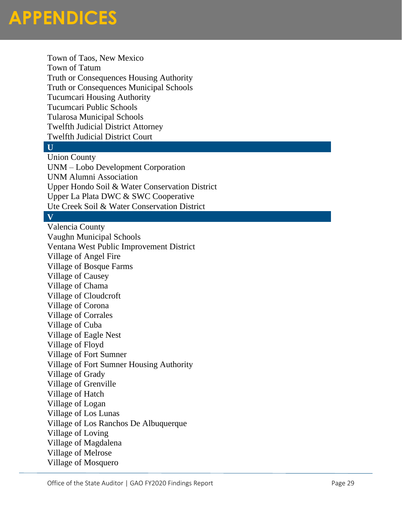Town of Taos, New Mexico Town of Tatum Truth or Consequences Housing Authority Truth or Consequences Municipal Schools Tucumcari Housing Authority Tucumcari Public Schools Tularosa Municipal Schools Twelfth Judicial District Attorney Twelfth Judicial District Court

#### **U**

Union County UNM – Lobo Development Corporation UNM Alumni Association Upper Hondo Soil & Water Conservation District Upper La Plata DWC & SWC Cooperative Ute Creek Soil & Water Conservation District

#### **V**

Valencia County Vaughn Municipal Schools Ventana West Public Improvement District Village of Angel Fire Village of Bosque Farms Village of Causey Village of Chama Village of Cloudcroft Village of Corona Village of Corrales Village of Cuba Village of Eagle Nest Village of Floyd Village of Fort Sumner Village of Fort Sumner Housing Authority Village of Grady Village of Grenville Village of Hatch Village of Logan Village of Los Lunas Village of Los Ranchos De Albuquerque Village of Loving Village of Magdalena Village of Melrose Village of Mosquero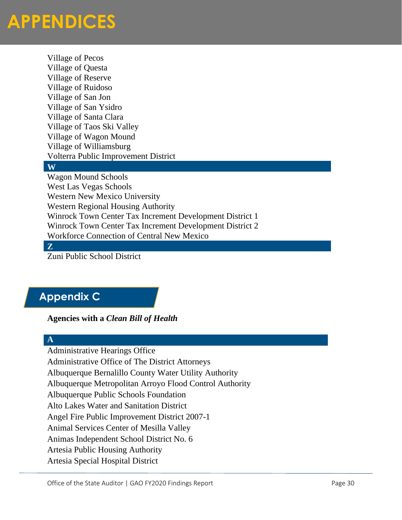Village of Pecos Village of Questa Village of Reserve Village of Ruidoso Village of San Jon Village of San Ysidro Village of Santa Clara Village of Taos Ski Valley Village of Wagon Mound Village of Williamsburg Volterra Public Improvement District

#### **W**

Wagon Mound Schools West Las Vegas Schools Western New Mexico University Western Regional Housing Authority Winrock Town Center Tax Increment Development District 1 Winrock Town Center Tax Increment Development District 2 Workforce Connection of Central New Mexico

#### **Z**

Zuni Public School District

#### **Appendix C**

**Agencies with a** *Clean Bill of Health*

#### **A**

Administrative Hearings Office Administrative Office of The District Attorneys Albuquerque Bernalillo County Water Utility Authority Albuquerque Metropolitan Arroyo Flood Control Authority Albuquerque Public Schools Foundation Alto Lakes Water and Sanitation District Angel Fire Public Improvement District 2007-1 Animal Services Center of Mesilla Valley Animas Independent School District No. 6 Artesia Public Housing Authority Artesia Special Hospital District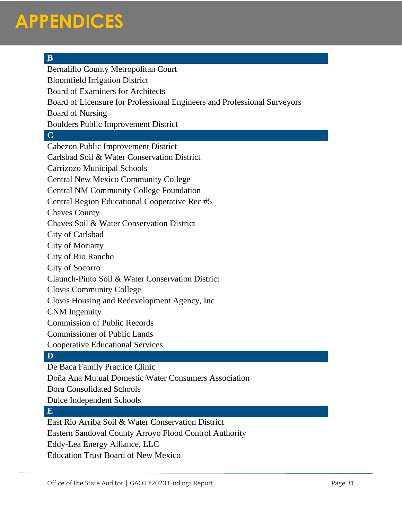#### **B**

Bernalillo County Metropolitan Court Bloomfield Irrigation District Board of Examiners for Architects Board of Licensure for Professional Engineers and Professional Surveyors Board of Nursing Boulders Public Improvement District **C** Cabezon Public Improvement District Carlsbad Soil & Water Conservation District Carrizozo Municipal Schools Central New Mexico Community College Central NM Community College Foundation Central Region Educational Cooperative Rec #5 Chaves County Chaves Soil & Water Conservation District City of Carlsbad City of Moriarty City of Rio Rancho City of Socorro Claunch-Pinto Soil & Water Conservation District Clovis Community College Clovis Housing and Redevelopment Agency, Inc CNM Ingenuity Commission of Public Records Commissioner of Public Lands Cooperative Educational Services **D**

De Baca Family Practice Clinic

Doña Ana Mutual Domestic Water Consumers Association

Dora Consolidated Schools

Dulce Independent Schools

#### **E**

East Rio Arriba Soil & Water Conservation District Eastern Sandoval County Arroyo Flood Control Authority

Eddy-Lea Energy Alliance, LLC

Education Trust Board of New Mexico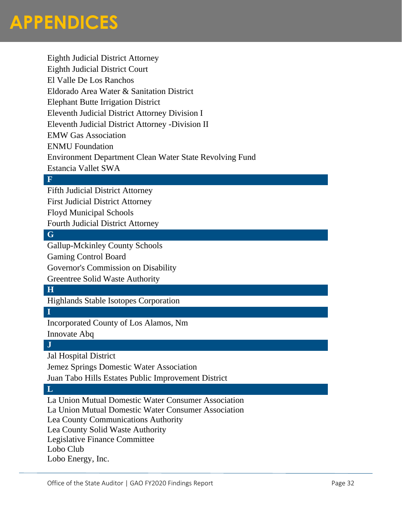Eighth Judicial District Attorney Eighth Judicial District Court El Valle De Los Ranchos Eldorado Area Water & Sanitation District Elephant Butte Irrigation District Eleventh Judicial District Attorney Division I Eleventh Judicial District Attorney -Division II EMW Gas Association ENMU Foundation Environment Department Clean Water State Revolving Fund Estancia Vallet SWA **F**

Fifth Judicial District Attorney

First Judicial District Attorney

Floyd Municipal Schools

Fourth Judicial District Attorney

#### **G**

Gallup-Mckinley County Schools Gaming Control Board Governor's Commission on Disability

Greentree Solid Waste Authority

#### **H**

Highlands Stable Isotopes Corporation

#### **I**

Incorporated County of Los Alamos, Nm

Innovate Abq

#### **J**

Jal Hospital District

Jemez Springs Domestic Water Association

Juan Tabo Hills Estates Public Improvement District

#### **L**

La Union Mutual Domestic Water Consumer Association

La Union Mutual Domestic Water Consumer Association

Lea County Communications Authority

Lea County Solid Waste Authority

Legislative Finance Committee

Lobo Club

Lobo Energy, Inc.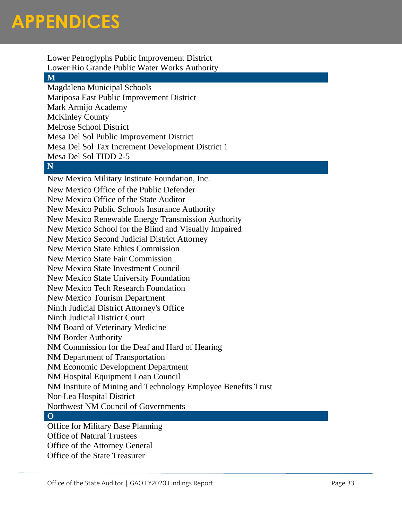Lower Petroglyphs Public Improvement District Lower Rio Grande Public Water Works Authority

#### **M**

Magdalena Municipal Schools Mariposa East Public Improvement District Mark Armijo Academy McKinley County Melrose School District Mesa Del Sol Public Improvement District Mesa Del Sol Tax Increment Development District 1 Mesa Del Sol TIDD 2-5

#### **N**

New Mexico Military Institute Foundation, Inc. New Mexico Office of the Public Defender New Mexico Office of the State Auditor New Mexico Public Schools Insurance Authority New Mexico Renewable Energy Transmission Authority New Mexico School for the Blind and Visually Impaired New Mexico Second Judicial District Attorney New Mexico State Ethics Commission New Mexico State Fair Commission New Mexico State Investment Council New Mexico State University Foundation New Mexico Tech Research Foundation New Mexico Tourism Department Ninth Judicial District Attorney's Office Ninth Judicial District Court NM Board of Veterinary Medicine NM Border Authority NM Commission for the Deaf and Hard of Hearing NM Department of Transportation NM Economic Development Department NM Hospital Equipment Loan Council NM Institute of Mining and Technology Employee Benefits Trust Nor-Lea Hospital District Northwest NM Council of Governments **O**

Office for Military Base Planning Office of Natural Trustees Office of the Attorney General Office of the State Treasurer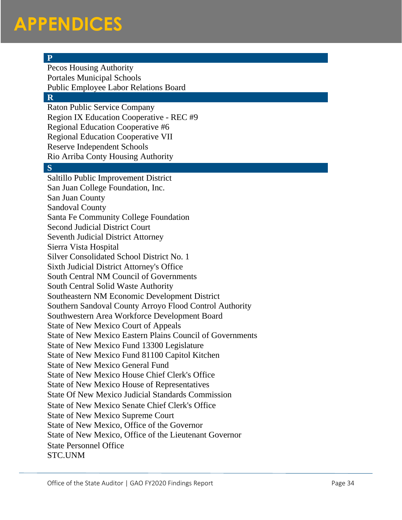#### **P**

Pecos Housing Authority Portales Municipal Schools Public Employee Labor Relations Board

#### **R**

Raton Public Service Company Region IX Education Cooperative - REC #9 Regional Education Cooperative #6 Regional Education Cooperative VII Reserve Independent Schools Rio Arriba Conty Housing Authority

#### **S**

Saltillo Public Improvement District San Juan College Foundation, Inc. San Juan County Sandoval County Santa Fe Community College Foundation Second Judicial District Court Seventh Judicial District Attorney Sierra Vista Hospital Silver Consolidated School District No. 1 Sixth Judicial District Attorney's Office South Central NM Council of Governments South Central Solid Waste Authority Southeastern NM Economic Development District Southern Sandoval County Arroyo Flood Control Authority Southwestern Area Workforce Development Board State of New Mexico Court of Appeals State of New Mexico Eastern Plains Council of Governments State of New Mexico Fund 13300 Legislature State of New Mexico Fund 81100 Capitol Kitchen State of New Mexico General Fund State of New Mexico House Chief Clerk's Office State of New Mexico House of Representatives State Of New Mexico Judicial Standards Commission State of New Mexico Senate Chief Clerk's Office State of New Mexico Supreme Court State of New Mexico, Office of the Governor State of New Mexico, Office of the Lieutenant Governor State Personnel Office STC.UNM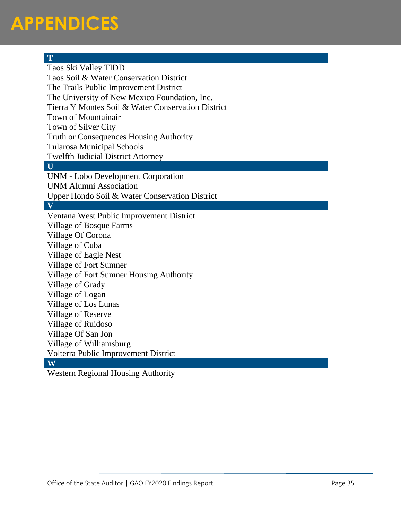#### **T** Taos Ski Valley TIDD Taos Soil & Water Conservation District The Trails Public Improvement District The University of New Mexico Foundation, Inc. Tierra Y Montes Soil & Water Conservation District Town of Mountainair Town of Silver City Truth or Consequences Housing Authority Tularosa Municipal Schools Twelfth Judicial District Attorney **U** UNM - Lobo Development Corporation UNM Alumni Association Upper Hondo Soil & Water Conservation District **V** Ventana West Public Improvement District Village of Bosque Farms Village Of Corona Village of Cuba Village of Eagle Nest Village of Fort Sumner Village of Fort Sumner Housing Authority Village of Grady Village of Logan Village of Los Lunas Village of Reserve Village of Ruidoso Village Of San Jon Village of Williamsburg Volterra Public Improvement District **W**

Western Regional Housing Authority